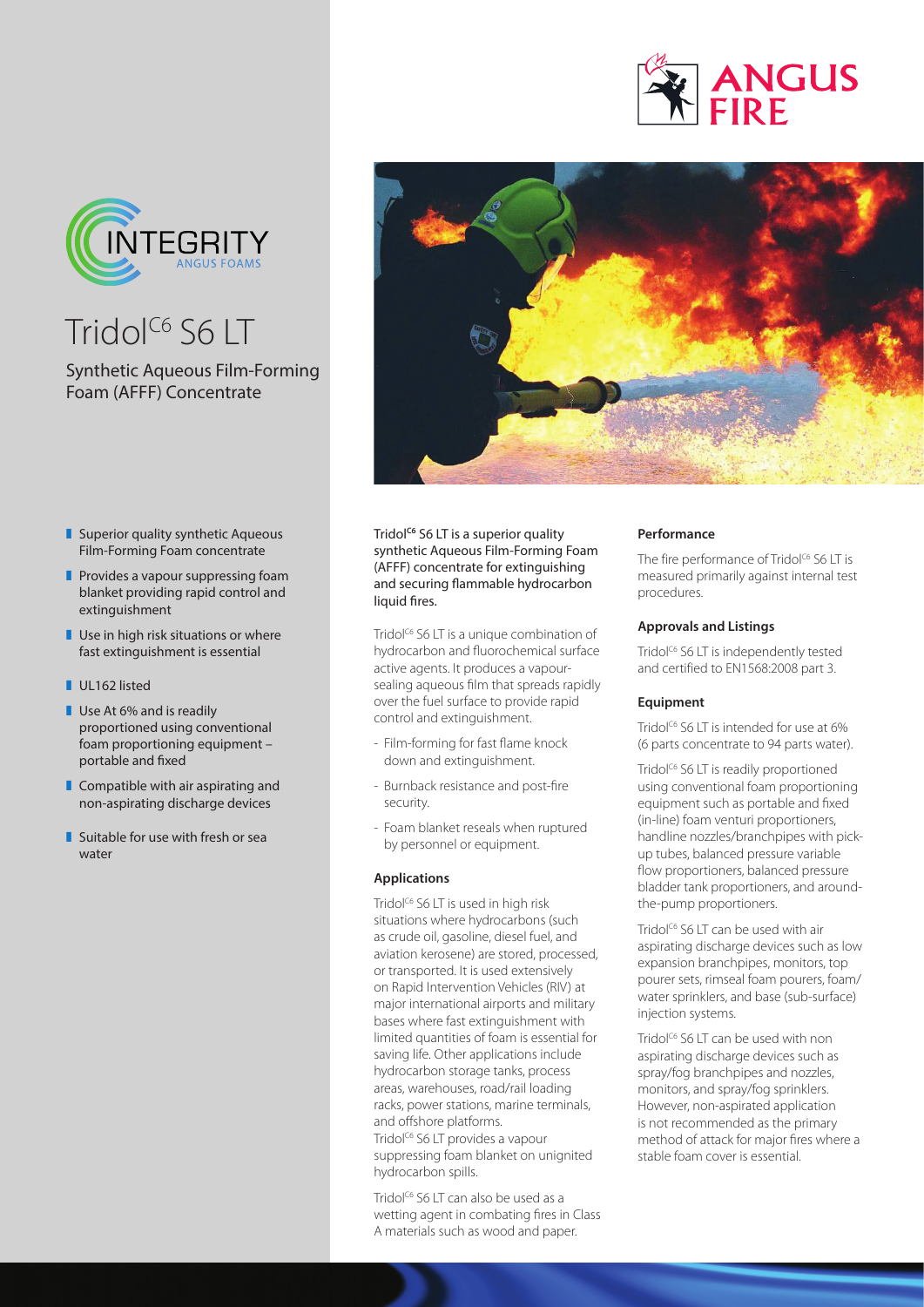



Tridol<sup>c6</sup> S6 LT

# Synthetic Aqueous Film-Forming Foam (AFFF) Concentrate



- $\blacksquare$  Superior quality synthetic Aqueous Film-Forming Foam concentrate
- $\blacksquare$  Provides a vapour suppressing foam blanket providing rapid control and extinguishment
- $\blacksquare$  Use in high risk situations or where fast extinguishment is essential
- UL162 listed
- $\blacksquare$  Use At 6% and is readily proportioned using conventional foam proportioning equipment – portable and fixed
- $\blacksquare$  Compatible with air aspirating and non-aspirating discharge devices
- $\blacksquare$  Suitable for use with fresh or sea water

Tridol<sup>c6</sup> S6 LT is a superior quality synthetic Aqueous Film-Forming Foam (AFFF) concentrate for extinguishing and securing flammable hydrocarbon liquid fires.

Tridol<sup>C6</sup> S6 LT is a unique combination of hydrocarbon and fluorochemical surface active agents. It produces a vapoursealing aqueous film that spreads rapidly over the fuel surface to provide rapid control and extinguishment.

- Film-forming for fast flame knock down and extinguishment.
- Burnback resistance and post-fire security.
- Foam blanket reseals when ruptured by personnel or equipment.

# **Applications**

Tridol<sup>c6</sup> S6 LT is used in high risk situations where hydrocarbons (such as crude oil, gasoline, diesel fuel, and aviation kerosene) are stored, processed, or transported. It is used extensively on Rapid Intervention Vehicles (RIV) at major international airports and military bases where fast extinguishment with limited quantities of foam is essential for saving life. Other applications include hydrocarbon storage tanks, process areas, warehouses, road/rail loading racks, power stations, marine terminals, and offshore platforms.

Tridol<sup>c6</sup> S6 LT provides a vapour suppressing foam blanket on unignited hydrocarbon spills.

Tridol<sup>c6</sup> S6 LT can also be used as a wetting agent in combating fires in Class A materials such as wood and paper.

# **Performance**

The fire performance of Tridol<sup>c6</sup> S6 LT is measured primarily against internal test procedures.

# **Approvals and Listings**

Tridol<sup>c6</sup> S6 LT is independently tested and certified to EN1568:2008 part 3.

# **Equipment**

Tridol<sup>C6</sup> S6 LT is intended for use at 6% (6 parts concentrate to 94 parts water).

Tridol<sup>c6</sup> S6 LT is readily proportioned using conventional foam proportioning equipment such as portable and fixed (in-line) foam venturi proportioners, handline nozzles/branchpipes with pickup tubes, balanced pressure variable flow proportioners, balanced pressure bladder tank proportioners, and aroundthe-pump proportioners.

Tridol<sup>c6</sup> S6 LT can be used with air aspirating discharge devices such as low expansion branchpipes, monitors, top pourer sets, rimseal foam pourers, foam/ water sprinklers, and base (sub-surface) injection systems.

Tridol<sup>c6</sup> S6 LT can be used with non aspirating discharge devices such as spray/fog branchpipes and nozzles, monitors, and spray/fog sprinklers. However, non-aspirated application is not recommended as the primary method of attack for major fires where a stable foam cover is essential.